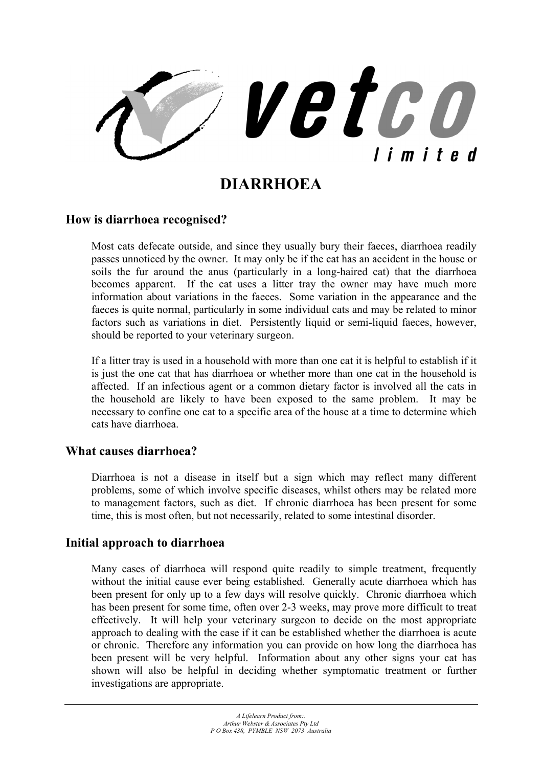

# **DIARRHOEA**

#### **How is diarrhoea recognised?**

Most cats defecate outside, and since they usually bury their faeces, diarrhoea readily passes unnoticed by the owner. It may only be if the cat has an accident in the house or soils the fur around the anus (particularly in a long-haired cat) that the diarrhoea becomes apparent. If the cat uses a litter tray the owner may have much more information about variations in the faeces. Some variation in the appearance and the faeces is quite normal, particularly in some individual cats and may be related to minor factors such as variations in diet. Persistently liquid or semi-liquid faeces, however, should be reported to your veterinary surgeon.

If a litter tray is used in a household with more than one cat it is helpful to establish if it is just the one cat that has diarrhoea or whether more than one cat in the household is affected. If an infectious agent or a common dietary factor is involved all the cats in the household are likely to have been exposed to the same problem. It may be necessary to confine one cat to a specific area of the house at a time to determine which cats have diarrhoea.

### **What causes diarrhoea?**

Diarrhoea is not a disease in itself but a sign which may reflect many different problems, some of which involve specific diseases, whilst others may be related more to management factors, such as diet. If chronic diarrhoea has been present for some time, this is most often, but not necessarily, related to some intestinal disorder.

### **Initial approach to diarrhoea**

Many cases of diarrhoea will respond quite readily to simple treatment, frequently without the initial cause ever being established. Generally acute diarrhoea which has been present for only up to a few days will resolve quickly. Chronic diarrhoea which has been present for some time, often over 2-3 weeks, may prove more difficult to treat effectively. It will help your veterinary surgeon to decide on the most appropriate approach to dealing with the case if it can be established whether the diarrhoea is acute or chronic. Therefore any information you can provide on how long the diarrhoea has been present will be very helpful. Information about any other signs your cat has shown will also be helpful in deciding whether symptomatic treatment or further investigations are appropriate.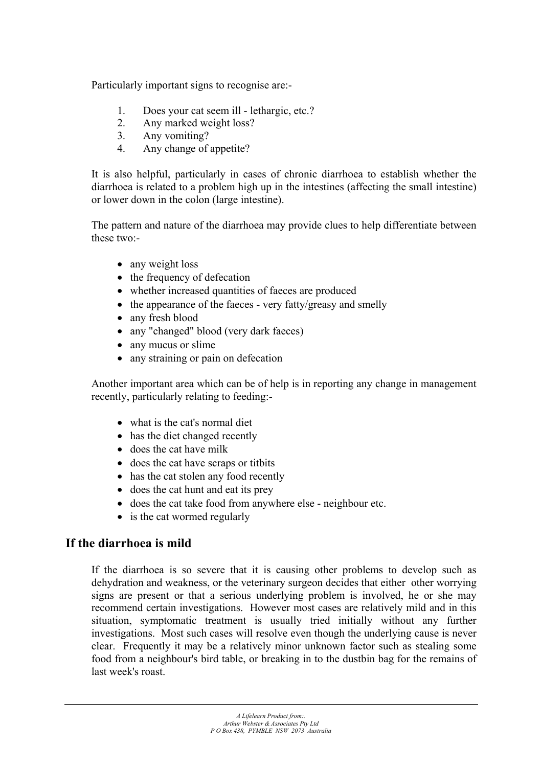Particularly important signs to recognise are:-

- 1. Does your cat seem ill lethargic, etc.?
- 2. Any marked weight loss?
- 3. Any vomiting?
- 4. Any change of appetite?

It is also helpful, particularly in cases of chronic diarrhoea to establish whether the diarrhoea is related to a problem high up in the intestines (affecting the small intestine) or lower down in the colon (large intestine).

The pattern and nature of the diarrhoea may provide clues to help differentiate between these two:-

- any weight loss
- the frequency of defecation
- whether increased quantities of faeces are produced
- the appearance of the faeces very fatty/greasy and smelly
- any fresh blood
- any "changed" blood (very dark faeces)
- any mucus or slime
- any straining or pain on defecation

Another important area which can be of help is in reporting any change in management recently, particularly relating to feeding:-

- what is the cat's normal diet
- has the diet changed recently
- does the cat have milk
- does the cat have scraps or titbits
- has the cat stolen any food recently
- does the cat hunt and eat its prey
- does the cat take food from anywhere else neighbour etc.
- is the cat wormed regularly

## **If the diarrhoea is mild**

If the diarrhoea is so severe that it is causing other problems to develop such as dehydration and weakness, or the veterinary surgeon decides that either other worrying signs are present or that a serious underlying problem is involved, he or she may recommend certain investigations. However most cases are relatively mild and in this situation, symptomatic treatment is usually tried initially without any further investigations. Most such cases will resolve even though the underlying cause is never clear. Frequently it may be a relatively minor unknown factor such as stealing some food from a neighbour's bird table, or breaking in to the dustbin bag for the remains of last week's roast.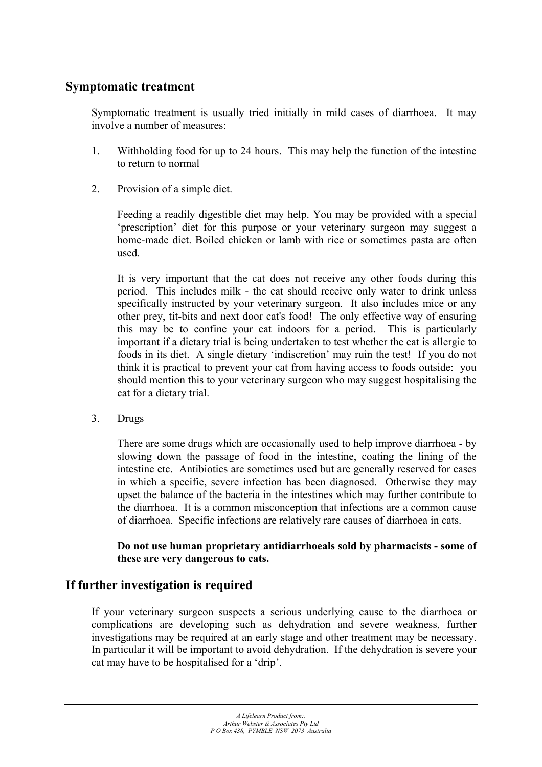## **Symptomatic treatment**

Symptomatic treatment is usually tried initially in mild cases of diarrhoea. It may involve a number of measures:

- 1. Withholding food for up to 24 hours. This may help the function of the intestine to return to normal
- 2. Provision of a simple diet.

Feeding a readily digestible diet may help. You may be provided with a special 'prescription' diet for this purpose or your veterinary surgeon may suggest a home-made diet. Boiled chicken or lamb with rice or sometimes pasta are often used.

It is very important that the cat does not receive any other foods during this period. This includes milk - the cat should receive only water to drink unless specifically instructed by your veterinary surgeon. It also includes mice or any other prey, tit-bits and next door cat's food! The only effective way of ensuring this may be to confine your cat indoors for a period. This is particularly important if a dietary trial is being undertaken to test whether the cat is allergic to foods in its diet. A single dietary 'indiscretion' may ruin the test! If you do not think it is practical to prevent your cat from having access to foods outside: you should mention this to your veterinary surgeon who may suggest hospitalising the cat for a dietary trial.

3. Drugs

There are some drugs which are occasionally used to help improve diarrhoea - by slowing down the passage of food in the intestine, coating the lining of the intestine etc. Antibiotics are sometimes used but are generally reserved for cases in which a specific, severe infection has been diagnosed. Otherwise they may upset the balance of the bacteria in the intestines which may further contribute to the diarrhoea. It is a common misconception that infections are a common cause of diarrhoea. Specific infections are relatively rare causes of diarrhoea in cats.

**Do not use human proprietary antidiarrhoeals sold by pharmacists - some of these are very dangerous to cats.** 

## **If further investigation is required**

If your veterinary surgeon suspects a serious underlying cause to the diarrhoea or complications are developing such as dehydration and severe weakness, further investigations may be required at an early stage and other treatment may be necessary. In particular it will be important to avoid dehydration. If the dehydration is severe your cat may have to be hospitalised for a 'drip'.